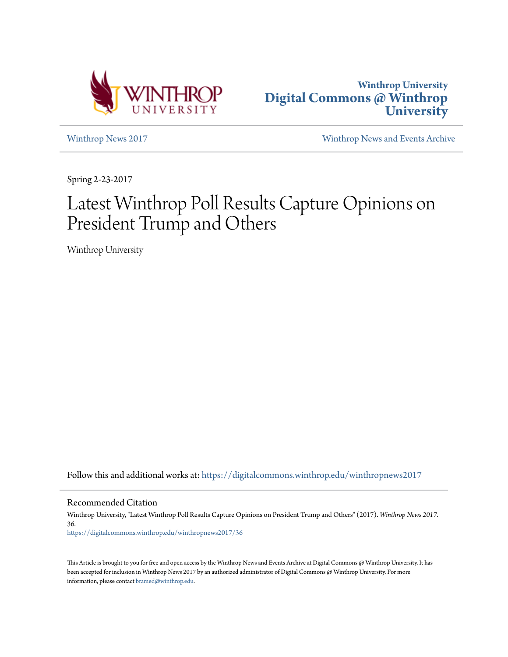



[Winthrop News 2017](https://digitalcommons.winthrop.edu/winthropnews2017?utm_source=digitalcommons.winthrop.edu%2Fwinthropnews2017%2F36&utm_medium=PDF&utm_campaign=PDFCoverPages) [Winthrop News and Events Archive](https://digitalcommons.winthrop.edu/winthropnewsarchives?utm_source=digitalcommons.winthrop.edu%2Fwinthropnews2017%2F36&utm_medium=PDF&utm_campaign=PDFCoverPages)

Spring 2-23-2017

# Latest Winthrop Poll Results Capture Opinions on President Trump and Others

Winthrop University

Follow this and additional works at: [https://digitalcommons.winthrop.edu/winthropnews2017](https://digitalcommons.winthrop.edu/winthropnews2017?utm_source=digitalcommons.winthrop.edu%2Fwinthropnews2017%2F36&utm_medium=PDF&utm_campaign=PDFCoverPages)

Recommended Citation

Winthrop University, "Latest Winthrop Poll Results Capture Opinions on President Trump and Others" (2017). *Winthrop News 2017*. 36. [https://digitalcommons.winthrop.edu/winthropnews2017/36](https://digitalcommons.winthrop.edu/winthropnews2017/36?utm_source=digitalcommons.winthrop.edu%2Fwinthropnews2017%2F36&utm_medium=PDF&utm_campaign=PDFCoverPages)

This Article is brought to you for free and open access by the Winthrop News and Events Archive at Digital Commons @ Winthrop University. It has been accepted for inclusion in Winthrop News 2017 by an authorized administrator of Digital Commons @ Winthrop University. For more information, please contact [bramed@winthrop.edu](mailto:bramed@winthrop.edu).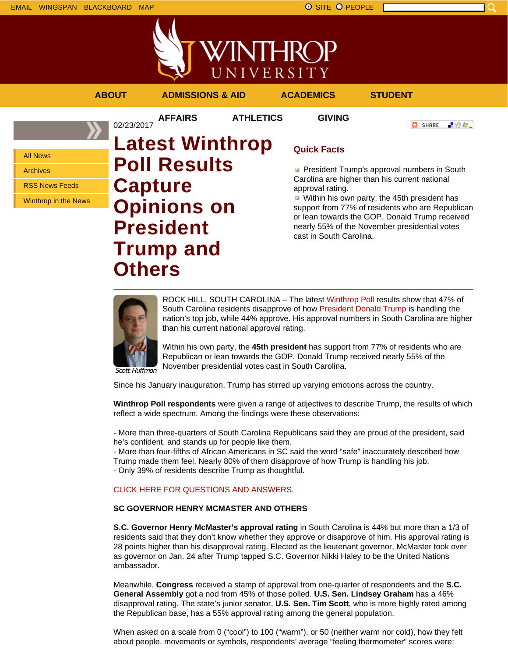



**AFFAIRS ATHLETICS GIVING**

02/23/2017

**ABOUT ADMISSIONS & AID ACADEMICS STUDENT**

**C** SHARE

上脸身。

All News

Archives

RSS News Feeds

Winthrop in the News

# **Latest Winthrop Poll Results Capture Opinions on President Trump and Others**

## **Quick Facts**

**President Trump's approval numbers in South** Carolina are higher than his current national approval rating.

Within his own party, the 45th president has support from 77% of residents who are Republican or lean towards the GOP. Donald Trump received nearly 55% of the November presidential votes cast in South Carolina.



ROCK HILL, SOUTH CAROLINA – The latest Winthrop Poll results show that 47% of South Carolina residents disapprove of how President Donald Trump is handling the nation's top job, while 44% approve. His approval numbers in South Carolina are higher than his current national approval rating.

Within his own party, the **45th president** has support from 77% of residents who are Republican or lean towards the GOP. Donald Trump received nearly 55% of the November presidential votes cast in South Carolina.

Scott Huffmon

Since his January inauguration, Trump has stirred up varying emotions across the country.

**Winthrop Poll respondents** were given a range of adjectives to describe Trump, the results of which reflect a wide spectrum. Among the findings were these observations:

- More than three-quarters of South Carolina Republicans said they are proud of the president, said he's confident, and stands up for people like them.

- More than four-fifths of African Americans in SC said the word "safe" inaccurately described how

Trump made them feel. Nearly 80% of them disapprove of how Trump is handling his job.

- Only 39% of residents describe Trump as thoughtful.

#### CLICK HERE FOR QUESTIONS AND ANSWERS.

#### **SC GOVERNOR HENRY MCMASTER AND OTHERS**

**S.C. Governor Henry McMaster's approval rating** in South Carolina is 44% but more than a 1/3 of residents said that they don't know whether they approve or disapprove of him. His approval rating is 28 points higher than his disapproval rating. Elected as the lieutenant governor, McMaster took over as governor on Jan. 24 after Trump tapped S.C. Governor Nikki Haley to be the United Nations ambassador.

Meanwhile, **Congress** received a stamp of approval from one-quarter of respondents and the **S.C. General Assembly** got a nod from 45% of those polled. **U.S. Sen. Lindsey Graham** has a 46% disapproval rating. The state's junior senator, **U.S. Sen. Tim Scott**, who is more highly rated among the Republican base, has a 55% approval rating among the general population.

When asked on a scale from 0 ("cool") to 100 ("warm"), or 50 (neither warm nor cold), how they felt about people, movements or symbols, respondents' average "feeling thermometer" scores were: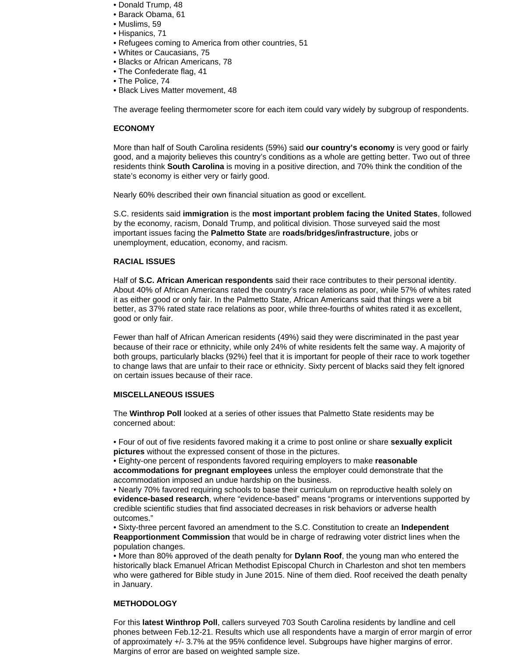- Donald Trump, 48
- Barack Obama, 61
- Muslims, 59
- Hispanics, 71
- Refugees coming to America from other countries, 51
- Whites or Caucasians, 75
- Blacks or African Americans, 78
- The Confederate flag, 41
- The Police, 74
- Black Lives Matter movement, 48

The average feeling thermometer score for each item could vary widely by subgroup of respondents.

#### **ECONOMY**

More than half of South Carolina residents (59%) said **our country's economy** is very good or fairly good, and a majority believes this country's conditions as a whole are getting better. Two out of three residents think **South Carolina** is moving in a positive direction, and 70% think the condition of the state's economy is either very or fairly good.

Nearly 60% described their own financial situation as good or excellent.

S.C. residents said **immigration** is the **most important problem facing the United States**, followed by the economy, racism, Donald Trump, and political division. Those surveyed said the most important issues facing the **Palmetto State** are **roads/bridges/infrastructure**, jobs or unemployment, education, economy, and racism.

### **RACIAL ISSUES**

Half of **S.C. African American respondents** said their race contributes to their personal identity. About 40% of African Americans rated the country's race relations as poor, while 57% of whites rated it as either good or only fair. In the Palmetto State, African Americans said that things were a bit better, as 37% rated state race relations as poor, while three-fourths of whites rated it as excellent, good or only fair.

Fewer than half of African American residents (49%) said they were discriminated in the past year because of their race or ethnicity, while only 24% of white residents felt the same way. A majority of both groups, particularly blacks (92%) feel that it is important for people of their race to work together to change laws that are unfair to their race or ethnicity. Sixty percent of blacks said they felt ignored on certain issues because of their race.

#### **MISCELLANEOUS ISSUES**

The **Winthrop Poll** looked at a series of other issues that Palmetto State residents may be concerned about:

• Four of out of five residents favored making it a crime to post online or share **sexually explicit pictures** without the expressed consent of those in the pictures.

• Eighty-one percent of respondents favored requiring employers to make **reasonable accommodations for pregnant employees** unless the employer could demonstrate that the accommodation imposed an undue hardship on the business.

• Nearly 70% favored requiring schools to base their curriculum on reproductive health solely on **evidence-based research**, where "evidence-based" means "programs or interventions supported by credible scientific studies that find associated decreases in risk behaviors or adverse health outcomes."

• Sixty-three percent favored an amendment to the S.C. Constitution to create an **Independent Reapportionment Commission** that would be in charge of redrawing voter district lines when the population changes.

• More than 80% approved of the death penalty for **Dylann Roof**, the young man who entered the historically black Emanuel African Methodist Episcopal Church in Charleston and shot ten members who were gathered for Bible study in June 2015. Nine of them died. Roof received the death penalty in January.

#### **METHODOLOGY**

For this **latest Winthrop Poll**, callers surveyed 703 South Carolina residents by landline and cell phones between Feb.12-21. Results which use all respondents have a margin of error margin of error of approximately +/- 3.7% at the 95% confidence level. Subgroups have higher margins of error. Margins of error are based on weighted sample size.